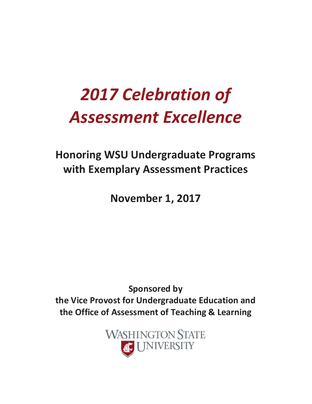# *2017 Celebration of Assessment Excellence*

# **Honoring WSU Undergraduate Programs with Exemplary Assessment Practices**

**November 1, 2017** 

**Sponsored by the Vice Provost for Undergraduate Education and the Office of Assessment of Teaching & Learning** 

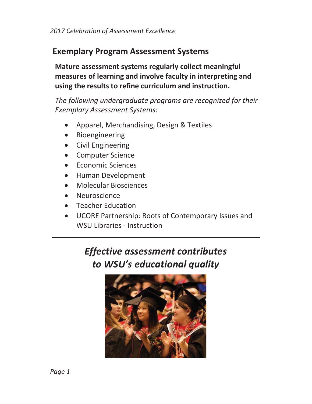# **Exemplary Program Assessment Systems**

**Mature assessment systems regularly collect meaningful measures of learning and involve faculty in interpreting and using the results to refine curriculum and instruction.** 

*The following undergraduate programs are recognized for their Exemplary Assessment Systems:* 

- Apparel, Merchandising, Design & Textiles
- Bioengineering
- Civil Engineering
- Computer Science
- **Economic Sciences**
- Human Development
- x Molecular Biosciences
- **Neuroscience**
- **Teacher Education**
- UCORE Partnership: Roots of Contemporary Issues and WSU Libraries - Instruction

# *Effective assessment contributes to WSU's educational quality*

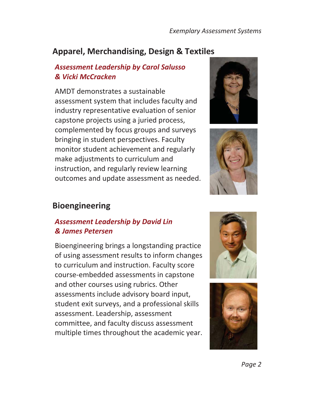# **Apparel, Merchandising, Design & Textiles**

#### *Assessment Leadership by Carol Salusso & Vicki McCracken*

AMDT demonstrates a sustainable assessment system that includes faculty and industry representative evaluation of senior capstone projects using a juried process, complemented by focus groups and surveys bringing in student perspectives. Faculty monitor student achievement and regularly make adjustments to curriculum and instruction, and regularly review learning outcomes and update assessment as needed.





# **Bioengineering**

#### *Assessment Leadership by David Lin & James Petersen*

Bioengineering brings a longstanding practice of using assessment results to inform changes to curriculum and instruction. Faculty score course-embedded assessments in capstone and other courses using rubrics. Other assessments include advisory board input, student exit surveys, and a professional skills assessment. Leadership, assessment committee, and faculty discuss assessment multiple times throughout the academic year.



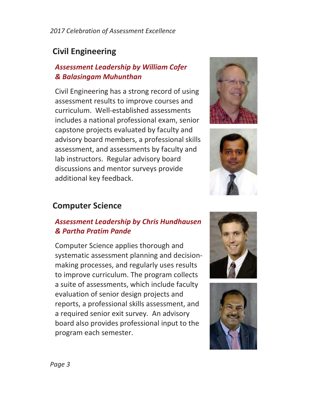# **Civil Engineering**

#### *Assessment Leadership by William Cofer & Balasingam Muhunthan*

Civil Engineering has a strong record of using assessment results to improve courses and curriculum. Well-established assessments includes a national professional exam, senior capstone projects evaluated by faculty and advisory board members, a professional skills assessment, and assessments by faculty and lab instructors. Regular advisory board discussions and mentor surveys provide additional key feedback.





# **Computer Science**

#### *Assessment Leadership by Chris Hundhausen & Partha Pratim Pande*

Computer Science applies thorough and systematic assessment planning and decisionmaking processes, and regularly uses results to improve curriculum. The program collects a suite of assessments, which include faculty evaluation of senior design projects and reports, a professional skills assessment, and a required senior exit survey. An advisory board also provides professional input to the program each semester.



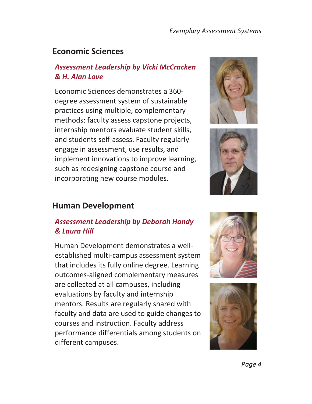## **Economic Sciences**

#### *Assessment Leadership by Vicki McCracken & H. Alan Love*

Economic Sciences demonstrates a 360 degree assessment system of sustainable practices using multiple, complementary methods: faculty assess capstone projects, internship mentors evaluate student skills, and students self-assess. Faculty regularly engage in assessment, use results, and implement innovations to improve learning, such as redesigning capstone course and incorporating new course modules.





#### **Human Development**

#### *Assessment Leadership by Deborah Handy & Laura Hill*

Human Development demonstrates a wellestablished multi-campus assessment system that includes its fully online degree. Learning outcomes-aligned complementary measures are collected at all campuses, including evaluations by faculty and internship mentors. Results are regularly shared with faculty and data are used to guide changes to courses and instruction. Faculty address performance differentials among students on different campuses.



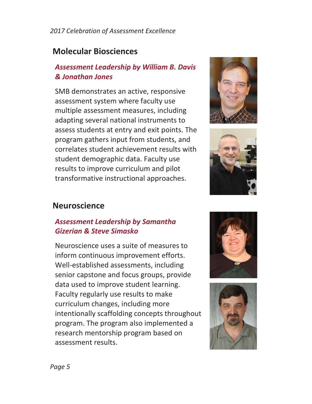#### *2017 Celebration of Assessment Excellence*

# **Molecular Biosciences**

#### *Assessment Leadership by William B. Davis & Jonathan Jones*

SMB demonstrates an active, responsive assessment system where faculty use multiple assessment measures, including adapting several national instruments to assess students at entry and exit points. The program gathers input from students, and correlates student achievement results with student demographic data. Faculty use results to improve curriculum and pilot transformative instructional approaches.





#### **Neuroscience**

#### *Assessment Leadership by Samantha Gizerian & Steve Simasko*

Neuroscience uses a suite of measures to inform continuous improvement efforts. Well-established assessments, including senior capstone and focus groups, provide data used to improve student learning. Faculty regularly use results to make curriculum changes, including more intentionally scaffolding concepts throughout program. The program also implemented a research mentorship program based on assessment results.



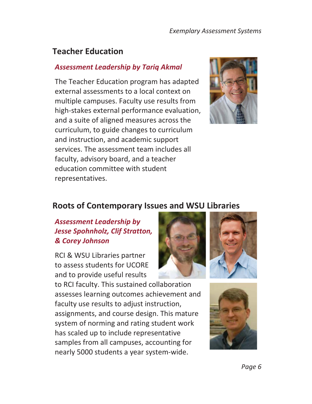# **Teacher Education**

#### *Assessment Leadership by Tariq Akmal*

The Teacher Education program has adapted external assessments to a local context on multiple campuses. Faculty use results from high-stakes external performance evaluation, and a suite of aligned measures across the curriculum, to guide changes to curriculum and instruction, and academic support services. The assessment team includes all faculty, advisory board, and a teacher education committee with student representatives.



#### **Roots of Contemporary Issues and WSU Libraries**

#### *Assessment Leadership by Jesse Spohnholz, Clif Stratton, & Corey Johnson*

RCI & WSU Libraries partner to assess students for UCORE and to provide useful results

to RCI faculty. This sustained collaboration assesses learning outcomes achievement and faculty use results to adjust instruction, assignments, and course design. This mature system of norming and rating student work has scaled up to include representative samples from all campuses, accounting for nearly 5000 students a year system-wide.





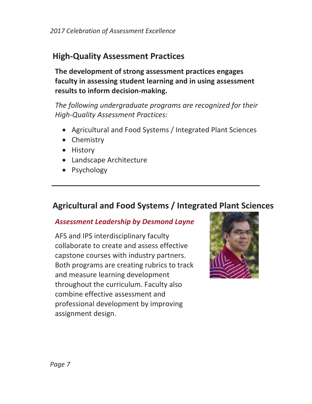# **High-Quality Assessment Practices**

**The development of strong assessment practices engages faculty in assessing student learning and in using assessment results to inform decision-making.** 

*The following undergraduate programs are recognized for their High-Quality Assessment Practices:* 

- Agricultural and Food Systems / Integrated Plant Sciences
- Chemistry
- History
- Landscape Architecture
- Psychology

# **Agricultural and Food Systems / Integrated Plant Sciences**

#### *Assessment Leadership by Desmond Layne*

AFS and IPS interdisciplinary faculty collaborate to create and assess effective capstone courses with industry partners. Both programs are creating rubrics to track and measure learning development throughout the curriculum. Faculty also combine effective assessment and professional development by improving assignment design.

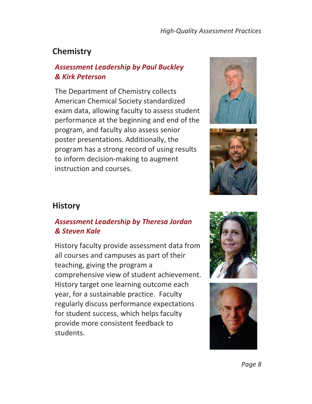# **Chemistry**

#### *Assessment Leadership by Paul Buckley & Kirk Peterson*

The Department of Chemistry collects American Chemical Society standardized exam data, allowing faculty to assess student performance at the beginning and end of the program, and faculty also assess senior poster presentations. Additionally, the program has a strong record of using results to inform decision-making to augment instruction and courses.





### **History**

#### *Assessment Leadership by Theresa Jordan & Steven Kale*

History faculty provide assessment data from all courses and campuses as part of their teaching, giving the program a comprehensive view of student achievement. History target one learning outcome each year, for a sustainable practice. Faculty regularly discuss performance expectations for student success, which helps faculty provide more consistent feedback to students.



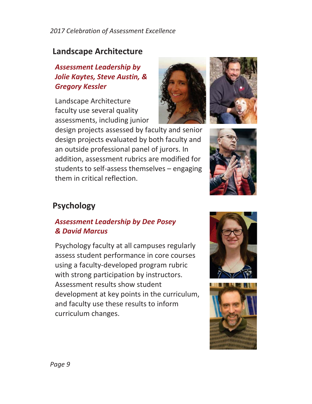*2017 Celebration of Assessment Excellence*

# **Landscape Architecture**

## *Assessment Leadership by Jolie Kaytes, Steve Austin, & Gregory Kessler*

Landscape Architecture faculty use several quality assessments, including junior



design projects assessed by faculty and senior design projects evaluated by both faculty and an outside professional panel of jurors. In addition, assessment rubrics are modified for students to self-assess themselves – engaging them in critical reflection.



# **Psychology**

#### *Assessment Leadership by Dee Posey & David Marcus*

Psychology faculty at all campuses regularly assess student performance in core courses using a faculty-developed program rubric with strong participation by instructors. Assessment results show student development at key points in the curriculum, and faculty use these results to inform curriculum changes.